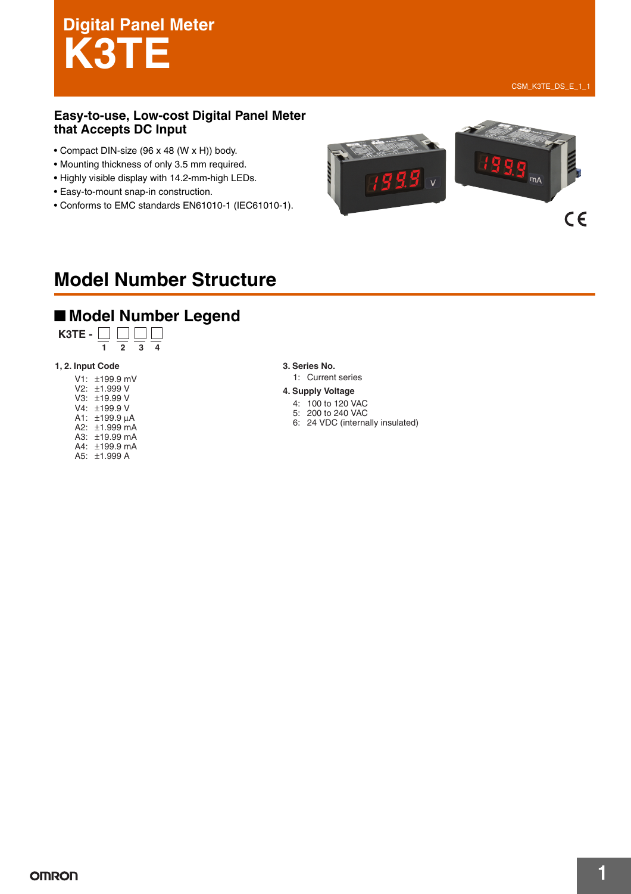# **Digital Panel Meter K3TE**

CSM\_K3TE\_DS\_E\_1\_1

#### **Easy-to-use, Low-cost Digital Panel Meter that Accepts DC Input**

- Compact DIN-size (96 x 48 (W x H)) body.
- Mounting thickness of only 3.5 mm required.
- Highly visible display with 14.2-mm-high LEDs.
- Easy-to-mount snap-in construction.
- Conforms to EMC standards EN61010-1 (IEC61010-1).



### **Model Number Structure**

#### ■ **Model Number Legend**



#### **1, 2. Input Code 3. Series No.**

V1: ±199.9 mV V2: ±1.999 V V3: ±19.99 V V4: ±199.9 V A1: ±199.9 µA A2: ±1.999 mA A3: ±19.99 mA A4: ±199.9 mA A5: ±1.999 A

1: Current series

#### **4. Supply Voltage**

- 4: 100 to 120 VAC
- 5: 200 to 240 VAC 6: 24 VDC (internally insulated)
-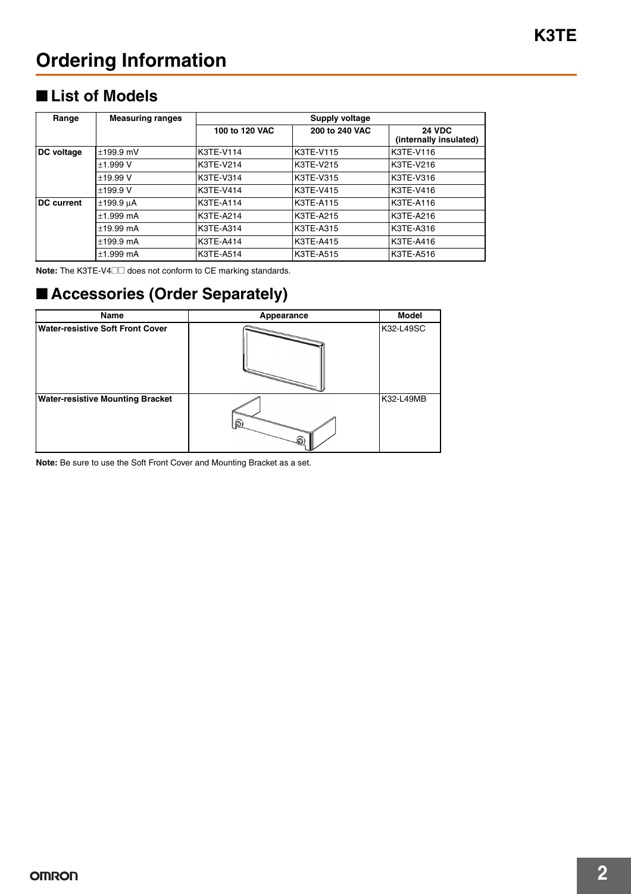### **Ordering Information**

#### ■ **List of Models**

| Range             | <b>Measuring ranges</b> | Supply voltage |                |                                         |  |
|-------------------|-------------------------|----------------|----------------|-----------------------------------------|--|
|                   |                         | 100 to 120 VAC | 200 to 240 VAC | <b>24 VDC</b><br>(internally insulated) |  |
| DC voltage        | $±199.9$ mV             | K3TE-V114      | K3TE-V115      | K3TE-V116                               |  |
|                   | ±1.999V                 | K3TE-V214      | K3TE-V215      | K3TE-V216                               |  |
|                   | ±19.99V                 | K3TE-V314      | K3TE-V315      | <b>K3TE-V316</b>                        |  |
|                   | ±199.9V                 | K3TE-V414      | K3TE-V415      | <b>K3TE-V416</b>                        |  |
| <b>DC</b> current | $±199.9 \mu A$          | K3TE-A114      | K3TE-A115      | K3TE-A116                               |  |
|                   | $±1.999$ mA             | K3TE-A214      | K3TE-A215      | K3TE-A216                               |  |
|                   | $±19.99$ mA             | K3TE-A314      | K3TE-A315      | K3TE-A316                               |  |
|                   | $±199.9$ mA             | K3TE-A414      | K3TE-A415      | K3TE-A416                               |  |
|                   | $±1.999$ mA             | K3TE-A514      | K3TE-A515      | K3TE-A516                               |  |

**Note:** The K3TE-V4@@ does not conform to CE marking standards.

### ■ **Accessories (Order Separately)**

| Name                                    | Appearance | <b>Model</b> |
|-----------------------------------------|------------|--------------|
| <b>Water-resistive Soft Front Cover</b> |            | K32-L49SC    |
| <b>Water-resistive Mounting Bracket</b> | ⋒          | K32-L49MB    |

**Note:** Be sure to use the Soft Front Cover and Mounting Bracket as a set.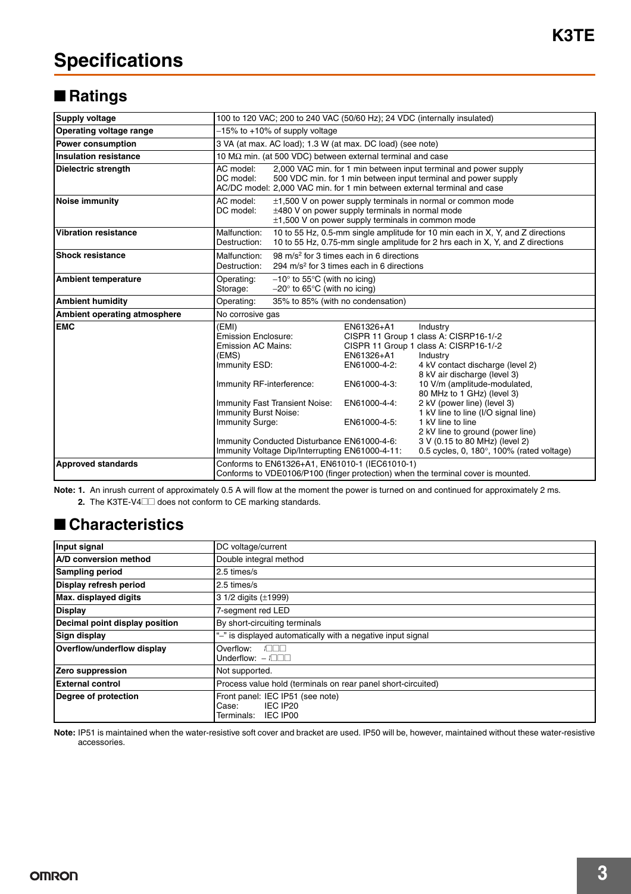### **Specifications**

### ■ **Ratings**

| <b>Supply voltage</b>        | 100 to 120 VAC; 200 to 240 VAC (50/60 Hz); 24 VDC (internally insulated)                                                                                                                                                                                                                                |                                                                                          |                                                                                                                                                                                                                                                                                                                                                                                                                                                          |  |
|------------------------------|---------------------------------------------------------------------------------------------------------------------------------------------------------------------------------------------------------------------------------------------------------------------------------------------------------|------------------------------------------------------------------------------------------|----------------------------------------------------------------------------------------------------------------------------------------------------------------------------------------------------------------------------------------------------------------------------------------------------------------------------------------------------------------------------------------------------------------------------------------------------------|--|
| Operating voltage range      | -15% to +10% of supply voltage                                                                                                                                                                                                                                                                          |                                                                                          |                                                                                                                                                                                                                                                                                                                                                                                                                                                          |  |
| Power consumption            | 3 VA (at max. AC load); 1.3 W (at max. DC load) (see note)                                                                                                                                                                                                                                              |                                                                                          |                                                                                                                                                                                                                                                                                                                                                                                                                                                          |  |
| <b>Insulation resistance</b> | 10 $\text{M}\Omega$ min. (at 500 VDC) between external terminal and case                                                                                                                                                                                                                                |                                                                                          |                                                                                                                                                                                                                                                                                                                                                                                                                                                          |  |
| <b>Dielectric strength</b>   | AC model:<br>2,000 VAC min. for 1 min between input terminal and power supply<br>DC model:<br>500 VDC min. for 1 min between input terminal and power supply<br>AC/DC model: 2,000 VAC min. for 1 min between external terminal and case                                                                |                                                                                          |                                                                                                                                                                                                                                                                                                                                                                                                                                                          |  |
| <b>Noise immunity</b>        | AC model:<br>±1,500 V on power supply terminals in normal or common mode<br>DC model:<br>$\pm$ 480 V on power supply terminals in normal mode<br>$\pm$ 1,500 V on power supply terminals in common mode                                                                                                 |                                                                                          |                                                                                                                                                                                                                                                                                                                                                                                                                                                          |  |
| <b>Vibration resistance</b>  | 10 to 55 Hz, 0.5-mm single amplitude for 10 min each in X, Y, and Z directions<br>Malfunction:<br>10 to 55 Hz, 0.75-mm single amplitude for 2 hrs each in X, Y, and Z directions<br>Destruction:                                                                                                        |                                                                                          |                                                                                                                                                                                                                                                                                                                                                                                                                                                          |  |
| <b>Shock resistance</b>      | Malfunction:<br>98 m/s <sup>2</sup> for 3 times each in 6 directions<br>294 m/s <sup>2</sup> for 3 times each in 6 directions<br>Destruction:                                                                                                                                                           |                                                                                          |                                                                                                                                                                                                                                                                                                                                                                                                                                                          |  |
| <b>Ambient temperature</b>   | Operating:<br>$-10^{\circ}$ to 55 $^{\circ}$ C (with no icing)<br>$-20^{\circ}$ to 65 $^{\circ}$ C (with no icing)<br>Storage:                                                                                                                                                                          |                                                                                          |                                                                                                                                                                                                                                                                                                                                                                                                                                                          |  |
| <b>Ambient humidity</b>      | 35% to 85% (with no condensation)<br>Operating:                                                                                                                                                                                                                                                         |                                                                                          |                                                                                                                                                                                                                                                                                                                                                                                                                                                          |  |
| Ambient operating atmosphere | No corrosive gas                                                                                                                                                                                                                                                                                        |                                                                                          |                                                                                                                                                                                                                                                                                                                                                                                                                                                          |  |
| <b>EMC</b>                   | (EMI)<br>Emission Enclosure:<br><b>Emission AC Mains:</b><br>(EMS)<br>Immunity ESD:<br>Immunity RF-interference:<br><b>Immunity Fast Transient Noise:</b><br>Immunity Burst Noise:<br>Immunity Surge:<br>Immunity Conducted Disturbance EN61000-4-6:<br>Immunity Voltage Dip/Interrupting EN61000-4-11: | EN61326+A1<br>EN61326+A1<br>EN61000-4-2:<br>EN61000-4-3:<br>EN61000-4-4:<br>EN61000-4-5: | Industry<br>CISPR 11 Group 1 class A: CISRP16-1/-2<br>CISPR 11 Group 1 class A: CISRP16-1/-2<br>Industry<br>4 kV contact discharge (level 2)<br>8 kV air discharge (level 3)<br>10 V/m (amplitude-modulated,<br>80 MHz to 1 GHz) (level 3)<br>2 kV (power line) (level 3)<br>1 kV line to line (I/O signal line)<br>1 kV line to line<br>2 kV line to ground (power line)<br>3 V (0.15 to 80 MHz) (level 2)<br>0.5 cycles, 0, 180°, 100% (rated voltage) |  |
| <b>Approved standards</b>    | Conforms to EN61326+A1, EN61010-1 (IEC61010-1)<br>Conforms to VDE0106/P100 (finger protection) when the terminal cover is mounted.                                                                                                                                                                      |                                                                                          |                                                                                                                                                                                                                                                                                                                                                                                                                                                          |  |

Note: 1. An inrush current of approximately 0.5 A will flow at the moment the power is turned on and continued for approximately 2 ms. **2.** The K3TE-V4□□ does not conform to CE marking standards.

### ■ **Characteristics**

| Input signal                   | DC voltage/current                                                           |
|--------------------------------|------------------------------------------------------------------------------|
| A/D conversion method          | Double integral method                                                       |
| <b>Sampling period</b>         | 2.5 times/s                                                                  |
| Display refresh period         | 2.5 times/s                                                                  |
| Max. displayed digits          | 3 1/2 digits (±1999)                                                         |
| <b>Display</b>                 | 7-segment red LED                                                            |
| Decimal point display position | By short-circuiting terminals                                                |
| Sign display                   | "-" is displayed automatically with a negative input signal                  |
| Overflow/underflow display     | Overflow:<br>$\sqrt{2}$<br>Underflow: $-$ / $\Box$                           |
| Zero suppression               | Not supported.                                                               |
| <b>External control</b>        | Process value hold (terminals on rear panel short-circuited)                 |
| Degree of protection           | Front panel: IEC IP51 (see note)<br>IEC IP20<br>Case:<br>Terminals: IEC IP00 |

**Note:** IP51 is maintained when the water-resistive soft cover and bracket are used. IP50 will be, however, maintained without these water-resistive accessories.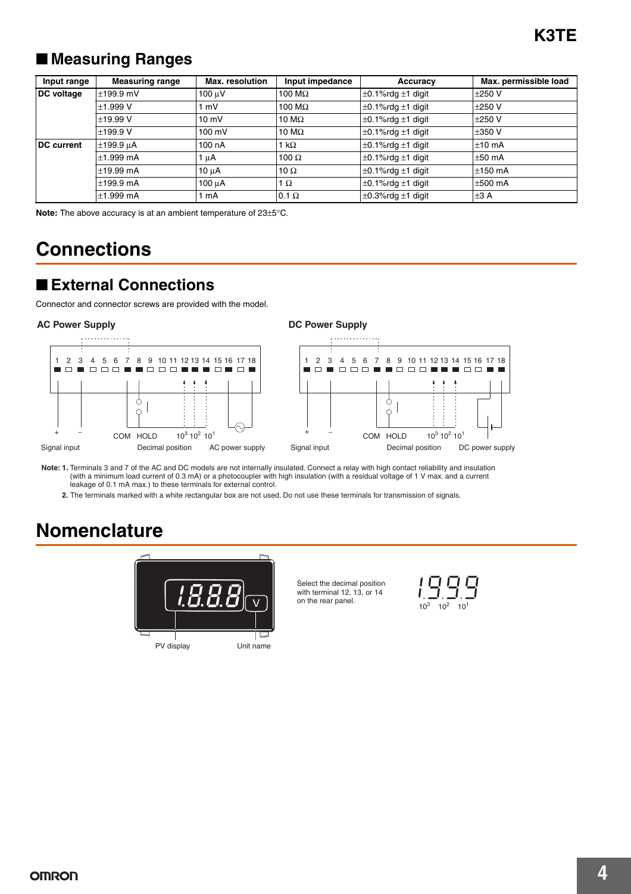### ■ **Measuring Ranges**

| Input range       | <b>Measuring range</b> | <b>Max.</b> resolution | Input impedance | Accuracy                      | Max. permissible load |
|-------------------|------------------------|------------------------|-----------------|-------------------------------|-----------------------|
| DC voltage        | $±199.9$ mV            | $100 \mu V$            | 100 M $\Omega$  | $\pm$ 0.1%rdg $\pm$ 1 digit   | $±250$ V              |
|                   | ±1.999V                | mV                     | 100 M $\Omega$  | $\pm$ 0.1%rdg $\pm$ 1 digit   | $±250$ V              |
|                   | ±19.99V                | $10 \text{ mV}$        | 10 M $\Omega$   | $\pm 0.1\%$ rdg $\pm 1$ digit | $±250$ V              |
|                   | ±199.9V                | 100 mV                 | 10 M $\Omega$   | $\pm 0.1\%$ rdg $\pm 1$ digit | $±350$ V              |
| <b>DC</b> current | $±199.9 \mu A$         | 100 nA                 | 1 k $\Omega$    | $\pm$ 0.1%rdg $\pm$ 1 digit   | $±10$ mA              |
|                   | $\pm$ 1.999 mA         | 1 uA                   | 100 $\Omega$    | $\pm 0.1\%$ rdg $\pm 1$ digit | $\pm 50$ mA           |
|                   | $±19.99$ mA            | $10 \mu A$             | 10 $\Omega$     | $\pm 0.1\%$ rdg $\pm 1$ digit | $±150$ mA             |
|                   | $±199.9$ mA            | 100 µA                 | 1 $\Omega$      | $\pm 0.1\%$ rdg $\pm 1$ digit | $\pm 500$ mA          |
|                   | $\pm$ 1.999 mA         | mA                     | $0.1 \Omega$    | $\pm$ 0.3%rdg $\pm$ 1 digit   | ±3A                   |

**Note:** The above accuracy is at an ambient temperature of 23±5°C.

### **Connections**

#### ■ **External Connections**

Connector and connector screws are provided with the model.



**Note: 1.** Terminals 3 and 7 of the AC and DC models are not internally insulated. Connect a relay with high contact reliability and insulation (with a minimum load current of 0.3 mA) or a photocoupler with high insulation (with a residual voltage of 1 V max. and a current leakage of 0.1 mA max.) to these terminals for external control.

**2.** The terminals marked with a white rectangular box are not used. Do not use these terminals for transmission of signals.

### **Nomenclature**



Select the decimal position with terminal 12, 13, or 14 on the rear panel.

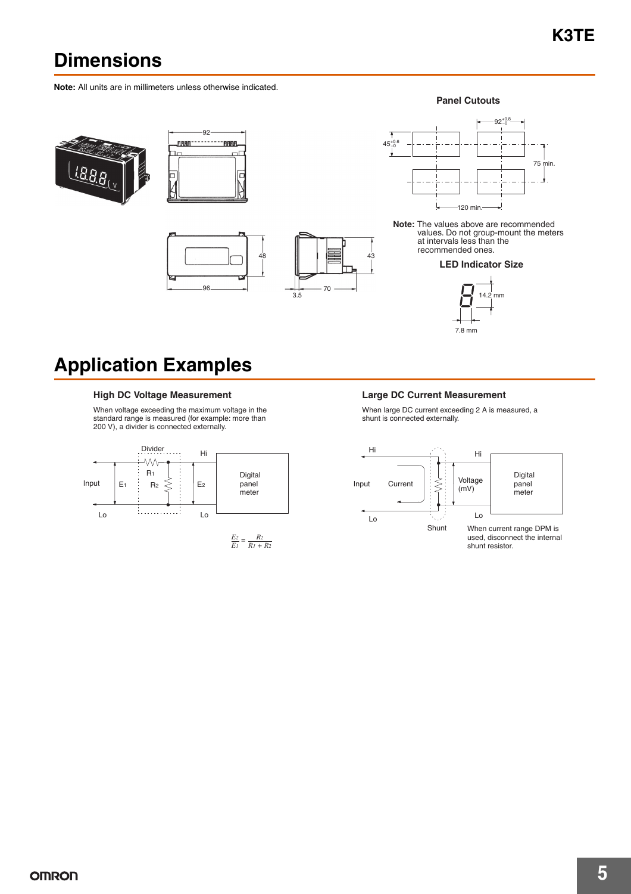### **Dimensions**

**Note:** All units are in millimeters unless otherwise indicated.







**Panel Cutouts**



**Note:** The values above are recommended values. Do not group-mount the meters at intervals less than the recommended ones.

#### **LED Indicator Size**



### **Application Examples**

#### High DC Voltage Measurement **Large DC Current Measurement**

When voltage exceeding the maximum voltage in the standard range is measured (for example: more than 200 V), a divider is connected externally.



43

When large DC current exceeding 2 A is measured, a shunt is connected externally.